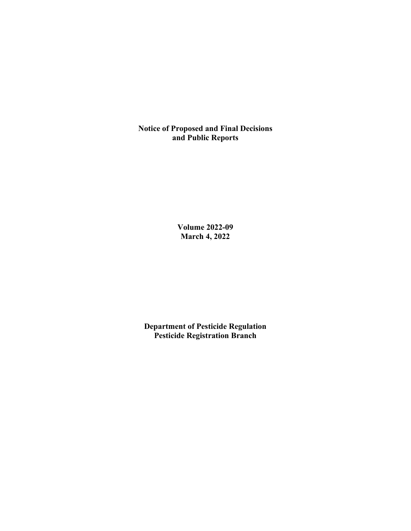**Notice of Proposed and Final Decisions and Public Reports**

> **Volume 2022-09 March 4, 2022**

**Department of Pesticide Regulation Pesticide Registration Branch**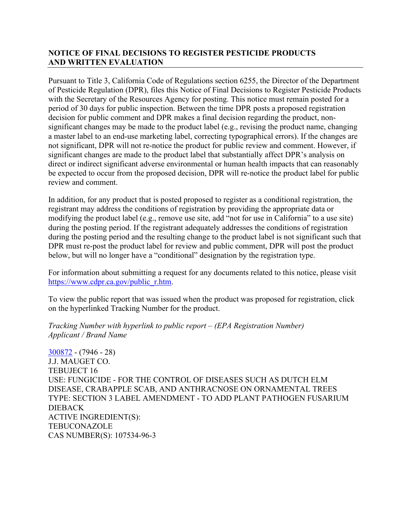## **NOTICE OF FINAL DECISIONS TO REGISTER PESTICIDE PRODUCTS AND WRITTEN EVALUATION**

Pursuant to Title 3, California Code of Regulations section 6255, the Director of the Department of Pesticide Regulation (DPR), files this Notice of Final Decisions to Register Pesticide Products with the Secretary of the Resources Agency for posting. This notice must remain posted for a period of 30 days for public inspection. Between the time DPR posts a proposed registration decision for public comment and DPR makes a final decision regarding the product, nonsignificant changes may be made to the product label (e.g., revising the product name, changing a master label to an end-use marketing label, correcting typographical errors). If the changes are not significant, DPR will not re-notice the product for public review and comment. However, if significant changes are made to the product label that substantially affect DPR's analysis on direct or indirect significant adverse environmental or human health impacts that can reasonably be expected to occur from the proposed decision, DPR will re-notice the product label for public review and comment.

In addition, for any product that is posted proposed to register as a conditional registration, the registrant may address the conditions of registration by providing the appropriate data or modifying the product label (e.g., remove use site, add "not for use in California" to a use site) during the posting period. If the registrant adequately addresses the conditions of registration during the posting period and the resulting change to the product label is not significant such that DPR must re-post the product label for review and public comment, DPR will post the product below, but will no longer have a "conditional" designation by the registration type.

For information about submitting a request for any documents related to this notice, please visit [https://www.cdpr.ca.gov/public\\_r.htm.](https://www.cdpr.ca.gov/public_r.htm)

To view the public report that was issued when the product was proposed for registration, click on the hyperlinked Tracking Number for the product.

*Tracking Number with hyperlink to public report – (EPA Registration Number) Applicant / Brand Name*

[300872](https://www.cdpr.ca.gov/docs/registration/nod/public_reports/300872.pdf) - (7946 - 28) J.J. MAUGET CO. TEBUJECT 16 USE: FUNGICIDE - FOR THE CONTROL OF DISEASES SUCH AS DUTCH ELM DISEASE, CRABAPPLE SCAB, AND ANTHRACNOSE ON ORNAMENTAL TREES TYPE: SECTION 3 LABEL AMENDMENT - TO ADD PLANT PATHOGEN FUSARIUM DIEBACK ACTIVE INGREDIENT(S): **TEBUCONAZOLE** CAS NUMBER(S): 107534-96-3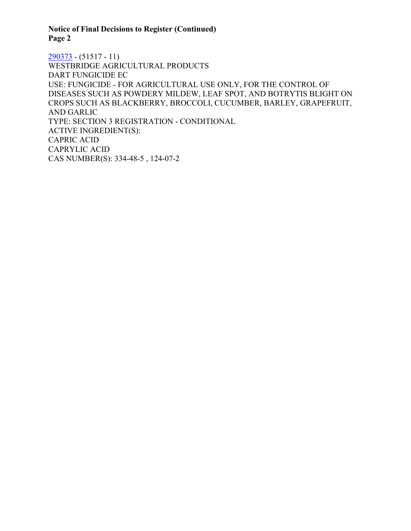**Notice of Final Decisions to Register (Continued) Page 2**

[290373](https://www.cdpr.ca.gov/docs/registration/nod/public_reports/290373.pdf) - (51517 - 11) WESTBRIDGE AGRICULTURAL PRODUCTS DART FUNGICIDE EC USE: FUNGICIDE - FOR AGRICULTURAL USE ONLY, FOR THE CONTROL OF DISEASES SUCH AS POWDERY MILDEW, LEAF SPOT, AND BOTRYTIS BLIGHT ON CROPS SUCH AS BLACKBERRY, BROCCOLI, CUCUMBER, BARLEY, GRAPEFRUIT, AND GARLIC TYPE: SECTION 3 REGISTRATION - CONDITIONAL ACTIVE INGREDIENT(S): CAPRIC ACID CAPRYLIC ACID CAS NUMBER(S): 334-48-5 , 124-07-2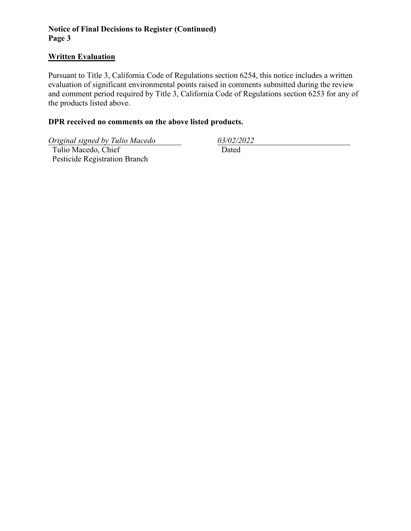# **Notice of Final Decisions to Register (Continued) Page 3**

#### **Written Evaluation**

Pursuant to Title 3, California Code of Regulations section 6254, this notice includes a written evaluation of significant environmental points raised in comments submitted during the review and comment period required by Title 3, California Code of Regulations section 6253 for any of the products listed above.

#### **DPR received no comments on the above listed products.**

*Original signed by Tulio Macedo 03/02/2022*

 Tulio Macedo, Chief Pesticide Registration Branch

Dated